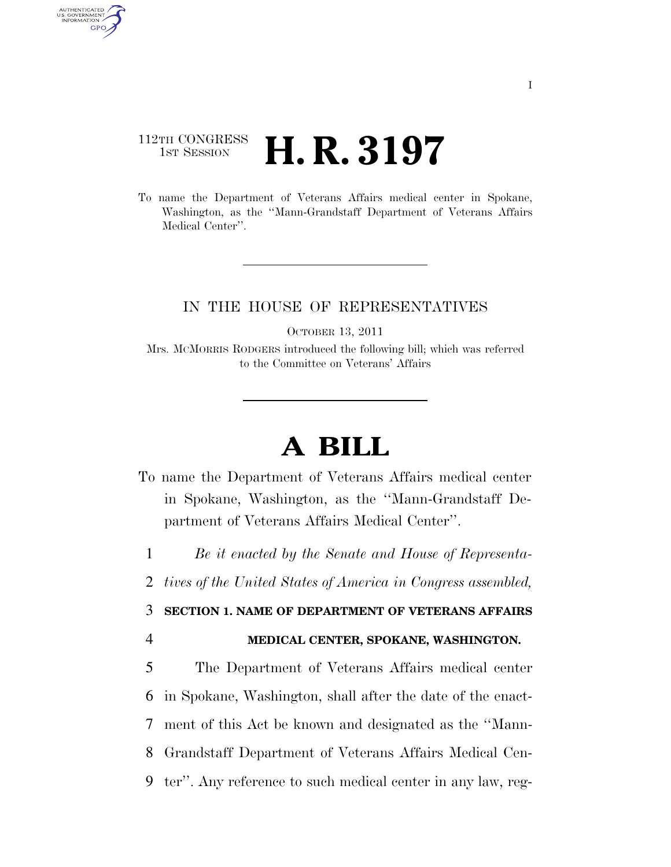## 112TH CONGRESS <sup>TH CONGRESS</sup> **H. R. 3197**

To name the Department of Veterans Affairs medical center in Spokane, Washington, as the ''Mann-Grandstaff Department of Veterans Affairs Medical Center''.

### IN THE HOUSE OF REPRESENTATIVES

OCTOBER 13, 2011

Mrs. MCMORRIS RODGERS introduced the following bill; which was referred to the Committee on Veterans' Affairs

# **A BILL**

To name the Department of Veterans Affairs medical center in Spokane, Washington, as the ''Mann-Grandstaff Department of Veterans Affairs Medical Center''.

1 *Be it enacted by the Senate and House of Representa-*

2 *tives of the United States of America in Congress assembled,* 

#### 3 **SECTION 1. NAME OF DEPARTMENT OF VETERANS AFFAIRS**

AUTHENTICATED<br>U.S. GOVERNMENT<br>INFORMATION GPO

## 4 **MEDICAL CENTER, SPOKANE, WASHINGTON.**

 The Department of Veterans Affairs medical center in Spokane, Washington, shall after the date of the enact- ment of this Act be known and designated as the ''Mann- Grandstaff Department of Veterans Affairs Medical Cen-ter''. Any reference to such medical center in any law, reg